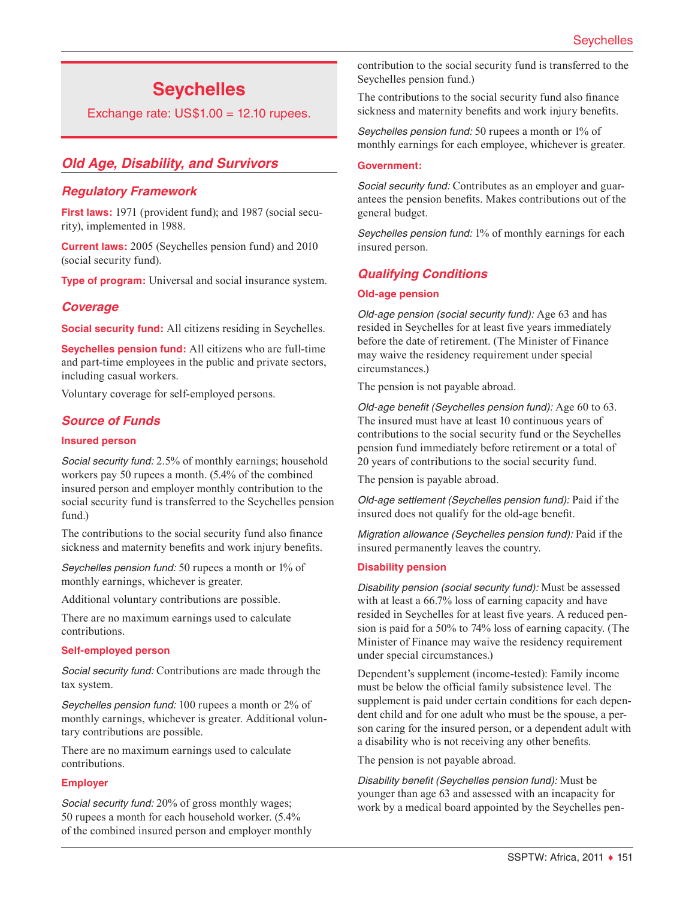# **Seychelles**

Exchange rate:  $US$1.00 = 12.10$  rupees.

# *Old Age, Disability, and Survivors*

#### *Regulatory Framework*

**First laws:** 1971 (provident fund); and 1987 (social security), implemented in 1988.

**Current laws:** 2005 (Seychelles pension fund) and 2010 (social security fund).

**Type of program:** Universal and social insurance system.

#### *Coverage*

**Social security fund:** All citizens residing in Seychelles.

**Seychelles pension fund:** All citizens who are full-time and part-time employees in the public and private sectors, including casual workers.

Voluntary coverage for self-employed persons.

#### *Source of Funds*

#### **Insured person**

*Social security fund:* 2.5% of monthly earnings; household workers pay 50 rupees a month. (5.4% of the combined insured person and employer monthly contribution to the social security fund is transferred to the Seychelles pension fund.)

The contributions to the social security fund also finance sickness and maternity benefits and work injury benefits.

*Seychelles pension fund:* 50 rupees a month or 1% of monthly earnings, whichever is greater.

Additional voluntary contributions are possible.

There are no maximum earnings used to calculate contributions.

#### **Self-employed person**

*Social security fund:* Contributions are made through the tax system.

*Seychelles pension fund:* 100 rupees a month or 2% of monthly earnings, whichever is greater. Additional voluntary contributions are possible.

There are no maximum earnings used to calculate contributions.

#### **Employer**

*Social security fund:* 20% of gross monthly wages; 50 rupees a month for each household worker. (5.4% of the combined insured person and employer monthly contribution to the social security fund is transferred to the Seychelles pension fund.)

The contributions to the social security fund also finance sickness and maternity benefits and work injury benefits.

*Seychelles pension fund:* 50 rupees a month or 1% of monthly earnings for each employee, whichever is greater.

#### **Government:**

*Social security fund:* Contributes as an employer and guarantees the pension benefits. Makes contributions out of the general budget.

*Seychelles pension fund:* 1% of monthly earnings for each insured person.

#### *Qualifying Conditions*

#### **Old-age pension**

*Old-age pension (social security fund):* Age 63 and has resided in Seychelles for at least five years immediately before the date of retirement. (The Minister of Finance may waive the residency requirement under special circumstances.)

The pension is not payable abroad.

*Old-age benefit (Seychelles pension fund):* Age 60 to 63. The insured must have at least 10 continuous years of contributions to the social security fund or the Seychelles pension fund immediately before retirement or a total of 20 years of contributions to the social security fund.

The pension is payable abroad.

*Old-age settlement (Seychelles pension fund):* Paid if the insured does not qualify for the old-age benefit.

*Migration allowance (Seychelles pension fund):* Paid if the insured permanently leaves the country.

#### **Disability pension**

*Disability pension (social security fund):* Must be assessed with at least a 66.7% loss of earning capacity and have resided in Seychelles for at least five years. A reduced pension is paid for a 50% to 74% loss of earning capacity. (The Minister of Finance may waive the residency requirement under special circumstances.)

Dependent's supplement (income-tested): Family income must be below the official family subsistence level. The supplement is paid under certain conditions for each dependent child and for one adult who must be the spouse, a person caring for the insured person, or a dependent adult with a disability who is not receiving any other benefits.

The pension is not payable abroad.

*Disability benefit (Seychelles pension fund):* Must be younger than age 63 and assessed with an incapacity for work by a medical board appointed by the Seychelles pen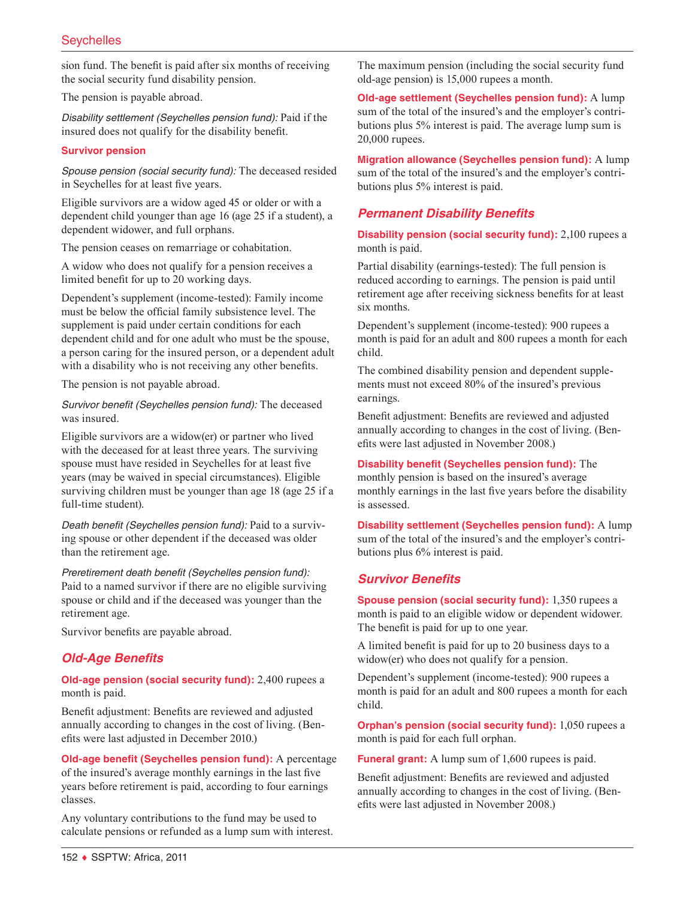sion fund. The benefit is paid after six months of receiving the social security fund disability pension.

The pension is payable abroad.

*Disability settlement (Seychelles pension fund):* Paid if the insured does not qualify for the disability benefit.

#### **Survivor pension**

*Spouse pension (social security fund):* The deceased resided in Seychelles for at least five years.

Eligible survivors are a widow aged 45 or older or with a dependent child younger than age 16 (age 25 if a student), a dependent widower, and full orphans.

The pension ceases on remarriage or cohabitation.

A widow who does not qualify for a pension receives a limited benefit for up to 20 working days.

Dependent's supplement (income-tested): Family income must be below the official family subsistence level. The supplement is paid under certain conditions for each dependent child and for one adult who must be the spouse, a person caring for the insured person, or a dependent adult with a disability who is not receiving any other benefits.

The pension is not payable abroad.

*Survivor benefit (Seychelles pension fund):* The deceased was insured.

Eligible survivors are a widow(er) or partner who lived with the deceased for at least three years. The surviving spouse must have resided in Seychelles for at least five years (may be waived in special circumstances). Eligible surviving children must be younger than age 18 (age 25 if a full-time student).

*Death benefit (Seychelles pension fund):* Paid to a surviving spouse or other dependent if the deceased was older than the retirement age.

*Preretirement death benefit (Seychelles pension fund):* Paid to a named survivor if there are no eligible surviving spouse or child and if the deceased was younger than the retirement age.

Survivor benefits are payable abroad.

# *Old-Age Benefits*

**Old-age pension (social security fund):** 2,400 rupees a month is paid.

Benefit adjustment: Benefits are reviewed and adjusted annually according to changes in the cost of living. (Benefits were last adjusted in December 2010.)

**Old-age benefit (Seychelles pension fund):** A percentage of the insured's average monthly earnings in the last five years before retirement is paid, according to four earnings classes.

Any voluntary contributions to the fund may be used to calculate pensions or refunded as a lump sum with interest. The maximum pension (including the social security fund old-age pension) is 15,000 rupees a month.

**Old-age settlement (Seychelles pension fund):** A lump sum of the total of the insured's and the employer's contributions plus 5% interest is paid. The average lump sum is 20,000 rupees.

**Migration allowance (Seychelles pension fund):** A lump sum of the total of the insured's and the employer's contributions plus 5% interest is paid.

# *Permanent Disability Benefits*

**Disability pension (social security fund):** 2,100 rupees a month is paid.

Partial disability (earnings-tested): The full pension is reduced according to earnings. The pension is paid until retirement age after receiving sickness benefits for at least six months.

Dependent's supplement (income-tested): 900 rupees a month is paid for an adult and 800 rupees a month for each child.

The combined disability pension and dependent supplements must not exceed 80% of the insured's previous earnings.

Benefit adjustment: Benefits are reviewed and adjusted annually according to changes in the cost of living. (Benefits were last adjusted in November 2008.)

**Disability benefit (Seychelles pension fund):** The monthly pension is based on the insured's average monthly earnings in the last five years before the disability is assessed.

**Disability settlement (Seychelles pension fund):** A lump sum of the total of the insured's and the employer's contributions plus 6% interest is paid.

# *Survivor Benefits*

**Spouse pension (social security fund):** 1,350 rupees a month is paid to an eligible widow or dependent widower. The benefit is paid for up to one year.

A limited benefit is paid for up to 20 business days to a widow(er) who does not qualify for a pension.

Dependent's supplement (income-tested): 900 rupees a month is paid for an adult and 800 rupees a month for each child.

**Orphan's pension (social security fund):** 1,050 rupees a month is paid for each full orphan.

**Funeral grant:** A lump sum of 1,600 rupees is paid.

Benefit adjustment: Benefits are reviewed and adjusted annually according to changes in the cost of living. (Benefits were last adjusted in November 2008.)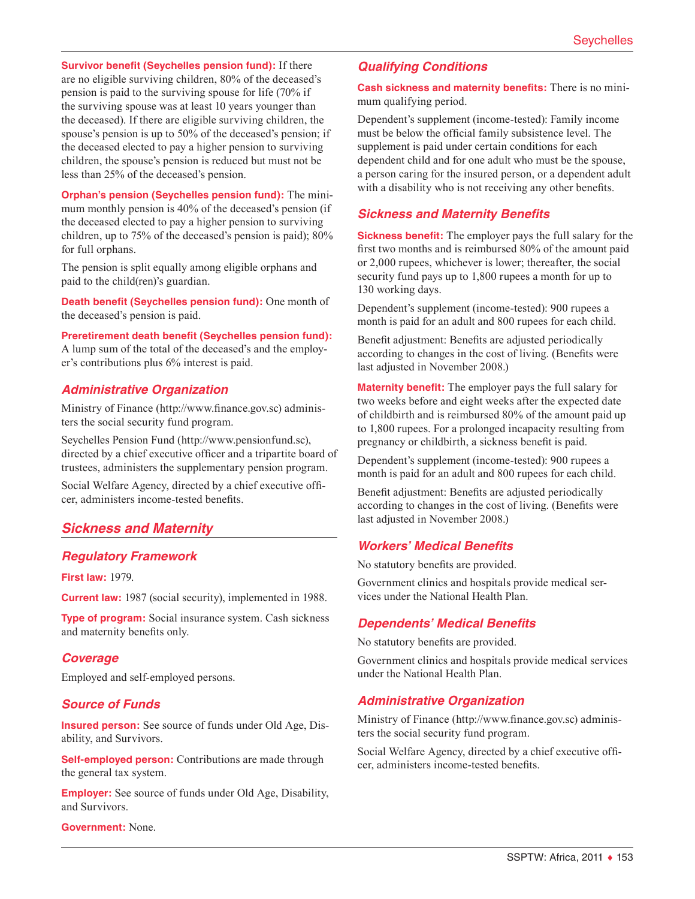**Survivor benefit (Seychelles pension fund):** If there are no eligible surviving children, 80% of the deceased's pension is paid to the surviving spouse for life (70% if the surviving spouse was at least 10 years younger than the deceased). If there are eligible surviving children, the spouse's pension is up to 50% of the deceased's pension; if the deceased elected to pay a higher pension to surviving children, the spouse's pension is reduced but must not be less than 25% of the deceased's pension.

**Orphan's pension (Seychelles pension fund):** The minimum monthly pension is 40% of the deceased's pension (if the deceased elected to pay a higher pension to surviving children, up to 75% of the deceased's pension is paid); 80% for full orphans.

The pension is split equally among eligible orphans and paid to the child(ren)'s guardian.

**Death benefit (Seychelles pension fund):** One month of the deceased's pension is paid.

**Preretirement death benefit (Seychelles pension fund):** A lump sum of the total of the deceased's and the employer's contributions plus 6% interest is paid.

#### *Administrative Organization*

Ministry of Finance ([http://www.finance.gov.sc\)](http://www.finance.gov.sc) administers the social security fund program.

Seychelles Pension Fund ([http://www.pensionfund.sc\)](http://www.pensionfund.sc), directed by a chief executive officer and a tripartite board of trustees, administers the supplementary pension program.

Social Welfare Agency, directed by a chief executive officer, administers income-tested benefits.

# *Sickness and Maternity*

#### *Regulatory Framework*

**First law:** 1979.

**Current law:** 1987 (social security), implemented in 1988.

**Type of program:** Social insurance system. Cash sickness and maternity benefits only.

#### *Coverage*

Employed and self-employed persons.

# *Source of Funds*

**Insured person:** See source of funds under Old Age, Disability, and Survivors.

**Self-employed person:** Contributions are made through the general tax system.

**Employer:** See source of funds under Old Age, Disability, and Survivors.

**Government:** None.

# *Qualifying Conditions*

**Cash sickness and maternity benefits:** There is no minimum qualifying period.

Dependent's supplement (income-tested): Family income must be below the official family subsistence level. The supplement is paid under certain conditions for each dependent child and for one adult who must be the spouse, a person caring for the insured person, or a dependent adult with a disability who is not receiving any other benefits.

# *Sickness and Maternity Benefits*

**Sickness benefit:** The employer pays the full salary for the first two months and is reimbursed 80% of the amount paid or 2,000 rupees, whichever is lower; thereafter, the social security fund pays up to 1,800 rupees a month for up to 130 working days.

Dependent's supplement (income-tested): 900 rupees a month is paid for an adult and 800 rupees for each child.

Benefit adjustment: Benefits are adjusted periodically according to changes in the cost of living. (Benefits were last adjusted in November 2008.)

**Maternity benefit:** The employer pays the full salary for two weeks before and eight weeks after the expected date of childbirth and is reimbursed 80% of the amount paid up to 1,800 rupees. For a prolonged incapacity resulting from pregnancy or childbirth, a sickness benefit is paid.

Dependent's supplement (income-tested): 900 rupees a month is paid for an adult and 800 rupees for each child.

Benefit adjustment: Benefits are adjusted periodically according to changes in the cost of living. (Benefits were last adjusted in November 2008.)

# *Workers' Medical Benefits*

No statutory benefits are provided.

Government clinics and hospitals provide medical services under the National Health Plan.

#### *Dependents' Medical Benefits*

No statutory benefits are provided.

Government clinics and hospitals provide medical services under the National Health Plan.

# *Administrative Organization*

Ministry of Finance ([http://www.finance.gov.sc\)](http://www.finance.gov.sc) administers the social security fund program.

Social Welfare Agency, directed by a chief executive officer, administers income-tested benefits.